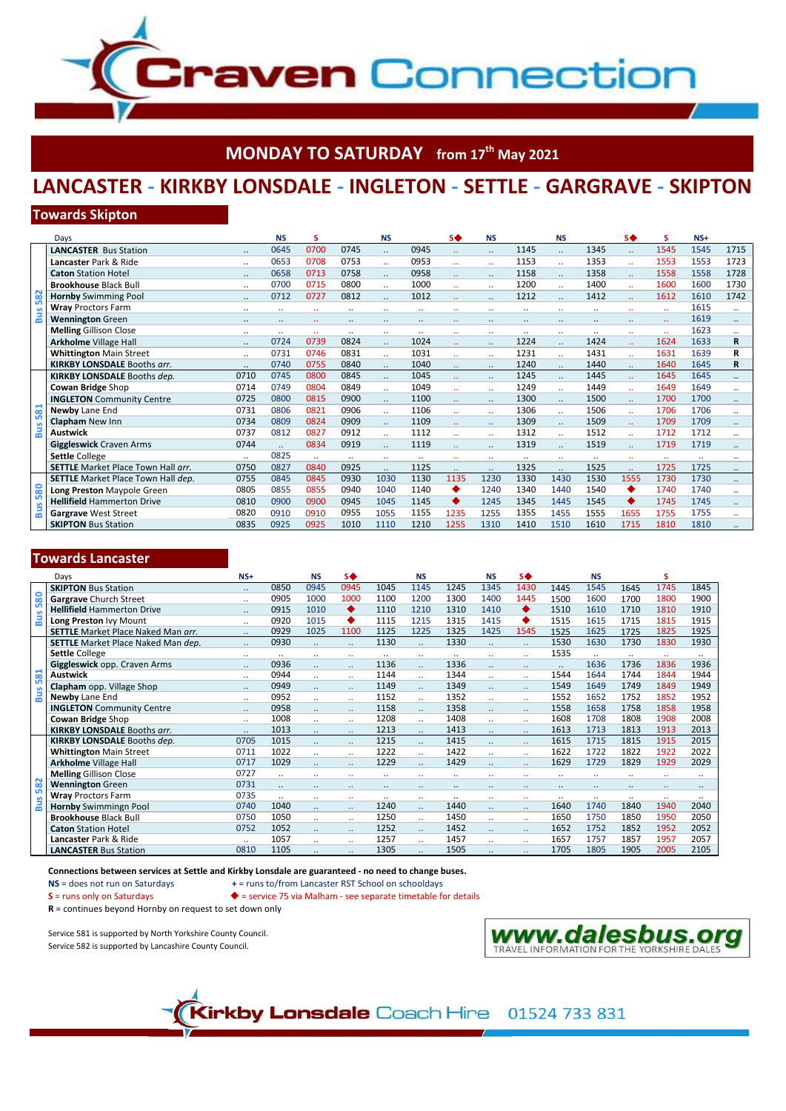# aven Connection

# **MONDAY TO SATURDAY from 17th May 2021**

# **LANCASTER - KIRKBY LONSDALE - INGLETON - SETTLE - GARGRAVE - SKIPTON**

### **Towards Skipton**

|            | Days                                                  |                            | <b>NS</b>                  | s                            |                             | <b>NS</b>                    |                             | s♦                          | <b>NS</b>                   |                             | <b>NS</b>                   |                             | s♦                   | s                          | $NS+$                |                             |
|------------|-------------------------------------------------------|----------------------------|----------------------------|------------------------------|-----------------------------|------------------------------|-----------------------------|-----------------------------|-----------------------------|-----------------------------|-----------------------------|-----------------------------|----------------------|----------------------------|----------------------|-----------------------------|
|            | <b>LANCASTER Bus Station</b>                          | $\ddotsc$                  | 0645                       | 0700                         | 0745                        | u,                           | 0945                        | $\bar{\Omega}$              | $\ddotsc$                   | 1145                        | u.                          | 1345                        | u.                   | 1545                       | 1545                 | 1715                        |
|            | Lancaster Park & Ride                                 | $\ddot{\phantom{a}}$       | 0653                       | 0708                         | 0753                        | u.                           | 0953                        | $\ddot{\phantom{a}}$        | u.                          | 1153                        | $\ddot{\phantom{a}}$        | 1353                        | u.                   | 1553                       | 1553                 | 1723                        |
|            | <b>Caton Station Hotel</b>                            | $\ddotsc$                  | 0658                       | 0713                         | 0758                        | u.                           | 0958                        | W.                          | ü.                          | 1158                        | u.                          | 1358                        | u.                   | 1558                       | 1558                 | 1728                        |
|            | <b>Brookhouse Black Bull</b>                          | $\ddotsc$                  | 0700                       | 0715                         | 0800                        | u.                           | 1000                        | v.                          | x.                          | 1200                        | u.                          | 1400                        | u.                   | 1600                       | 1600                 | 1730                        |
| 582        | <b>Hornby Swimming Pool</b>                           | $\ddotsc$                  | 0712                       | 0727                         | 0812                        | u.                           | 1012                        | u.                          | u.                          | 1212                        | u.                          | 1412                        | u.                   | 1612                       | 1610                 | 1742                        |
|            | <b>Wray Proctors Farm</b>                             | $\ddot{\phantom{a}}$       | $\mathcal{L}_{\mathbf{r}}$ | $\bar{\mathbf{r}}$           | $\mathbf{a}$                | u.                           | $\ddot{\phantom{a}}$        | ш                           | x.                          | $\ddotsc$                   | u.                          | $\ddot{\phantom{1}}$        | ä,                   | w.                         | 1615                 | $\ddotsc$                   |
| <b>Bus</b> | <b>Wennington Green</b>                               | $\ddotsc$                  | $\mathbb{Z}^2$             | $\mathcal{L}_{\mathbf{r}}$   | $\mathcal{L}_{\mathcal{A}}$ | u.                           | $\ddotsc$                   | $\ddotsc$                   | $\ddotsc$                   | $\ddotsc$                   | $\mathbb{Z}^2$              | $\ddotsc$                   | u.                   | $\mathcal{L}_{\mathbf{r}}$ | 1619                 | $\ddotsc$                   |
|            | <b>Melling Gillison Close</b>                         | $\ddot{\phantom{a}}$       | u.                         | аś.                          | $\ddot{\phantom{1}}$        | u,                           | $\ddotsc$                   | $\ddot{\phantom{a}}$        | x.                          | $\ddotsc$                   | u,                          | $\ddot{\phantom{1}}$        | ä.                   | $\mathbb{Z}^2$             | 1623                 | $\ddot{\phantom{a}}$        |
|            | <b>Arkholme Village Hall</b>                          | $\ddotsc$                  | 0724                       | 0739                         | 0824                        | $\ddotsc$                    | 1024                        | u.                          | $\ddotsc$                   | 1224                        | $\ddotsc$                   | 1424                        | u.                   | 1624                       | 1633                 | R                           |
|            | <b>Whittington Main Street</b>                        | $\ddotsc$                  | 0731                       | 0746                         | 0831                        | u.                           | 1031                        | u.                          | ü.                          | 1231                        | u.                          | 1431                        | u.                   | 1631                       | 1639                 | R                           |
|            | <b>KIRKBY LONSDALE Booths arr.</b>                    | $\ddotsc$                  | 0740                       | 0755                         | 0840                        | $\mathcal{L}_{\mathcal{F}}$  | 1040                        | $\mathcal{L}_{\mathcal{F}}$ | x.                          | 1240                        | $\mathcal{L}_{\mathcal{F}}$ | 1440                        | $\mathbb{Z}^2$       | 1640                       | 1645                 | R                           |
|            | KIRKBY LONSDALE Booths dep.                           | 0710                       | 0745                       | 0800                         | 0845                        | $\mathcal{L}_{\mathcal{F}}$  | 1045                        | W.                          | u,                          | 1245                        | $\mathbb{Z}^2$              | 1445                        | u.                   | 1645                       | 1645                 | $\mathbf{r}$ .              |
|            | <b>Cowan Bridge Shop</b>                              | 0714                       | 0749                       | 0804                         | 0849                        | u.                           | 1049                        | ä.                          | $\mathbb{Z}^2$              | 1249                        | u.                          | 1449                        | u.                   | 1649                       | 1649                 | $\ddotsc$                   |
|            | <b>INGLETON</b> Community Centre                      | 0725                       | 0800                       | 0815                         | 0900                        | $\mathcal{L}_{\mathbf{r}}$   | 1100                        | $\mathcal{L}_{\mathbf{r}}$  | u,                          | 1300                        | u.                          | 1500                        | u.                   | 1700                       | 1700                 | $\ddotsc$                   |
| 581        | Newby Lane End                                        | 0731                       | 0806                       | 0821                         | 0906                        | $\mathcal{L}_{\mathbf{r}}$   | 1106                        | $\mathbb{Z}^2$              | $\mathcal{L}_{\mathcal{F}}$ | 1306                        | $\mathcal{L}_{\mathbf{r}}$  | 1506                        | u.                   | 1706                       | 1706                 | $\ddotsc$                   |
|            | Clapham New Inn                                       | 0734                       | 0809                       | 0824                         | 0909                        | $\mathbb{Z}^2$               | 1109                        | $\mathcal{L}_{\mathbf{r}}$  | $\mathcal{L}_{\mathcal{F}}$ | 1309                        | u.                          | 1509                        | u.                   | 1709                       | 1709                 | $\mathcal{L}_{\mathbf{r}}$  |
| <b>Bus</b> | <b>Austwick</b>                                       | 0737                       | 0812                       | 0827                         | 0912                        | $\ddotsc$                    | 1112                        | W.                          | u.                          | 1312                        | $\mathbb{Z}^2$              | 1512                        | u.                   | 1712                       | 1712                 | $\mathbf{r}$                |
|            | Giggleswick Craven Arms                               | 0744                       | $\mathbb{Z}^2$             | 0834                         | 0919                        | u.                           | 1119                        | W.                          | u.                          | 1319                        | u.                          | 1519                        | u.                   | 1719                       | 1719                 | u.                          |
|            | <b>Settle College</b>                                 | $\ddotsc$                  | 0825                       | $\mathcal{L}_{\mathbf{r}}$ . | $\ddot{\phantom{a}}$        | u.                           | $\ddot{\phantom{a}}$        | u.                          | x.                          | $\ddot{\phantom{a}}$        | u.                          | $\ddot{\phantom{a}}$        | u.                   | $\Delta\omega$             | $\mathbb{Z}^2$       | $\ddot{\phantom{a}}$        |
|            | <b>SETTLE</b> Market Place Town Hall arr.             | 0750                       | 0827                       | 0840                         | 0925                        | $\mathcal{L}_{\mathcal{F}}$  | 1125                        | $\mathcal{L}_{\mathbf{r}}$  | $\ddot{\phantom{1}}$        | 1325                        | u.                          | 1525                        | u.                   | 1725                       | 1725                 | $\ddotsc$                   |
|            | <b>SETTLE</b> Market Place Town Hall dep.             | 0755                       | 0845                       | 0845                         | 0930                        | 1030                         | 1130                        | 1135                        | 1230                        | 1330                        | 1430                        | 1530                        | 1555                 | 1730                       | 1730                 | $\mathcal{A}^{\mathcal{A}}$ |
| 580        | Long Preston Maypole Green                            | 0805                       | 0855                       | 0855                         | 0940                        | 1040                         | 1140                        | ٠                           | 1240                        | 1340                        | 1440                        | 1540                        | ٠                    | 1740                       | 1740                 | $\ddots$                    |
|            | <b>Hellifield Hammerton Drive</b>                     | 0810                       | 0900                       | 0900                         | 0945                        | 1045                         | 1145                        | ٠                           | 1245                        | 1345                        | 1445                        | 1545                        | ٠                    | 1745                       | 1745                 | $\ddotsc$                   |
| <b>Bus</b> | Gargrave West Street                                  | 0820                       | 0910                       | 0910                         | 0955                        | 1055                         | 1155                        | 1235                        | 1255                        | 1355                        | 1455                        | 1555                        | 1655                 | 1755                       | 1755                 | $\ddots$                    |
|            | <b>SKIPTON Bus Station</b>                            | 0835                       | 0925                       | 0925                         | 1010                        | 1110                         | 1210                        | 1255                        | 1310                        | 1410                        | 1510                        | 1610                        | 1715                 | 1810                       | 1810                 | $\ddotsc$                   |
|            | <b>Towards Lancaster</b>                              |                            |                            |                              |                             |                              |                             |                             |                             |                             |                             |                             |                      |                            |                      |                             |
|            | Days                                                  | $NS+$                      |                            | <b>NS</b>                    | S♦                          |                              | <b>NS</b>                   |                             | <b>NS</b>                   | <b>S</b> $\blacklozenge$    |                             | <b>NS</b>                   |                      | s                          |                      |                             |
|            | <b>SKIPTON Bus Station</b>                            | x,                         | 0850                       | 0945                         | 0945                        | 1045                         | 1145                        | 1245                        | 1345                        | 1430                        | 1445                        | 1545                        | 1645                 | 1745                       | 1845                 |                             |
| 580        | Gargrave Church Street                                | u.                         | 0905                       | 1000                         | 1000                        | 1100                         | 1200                        | 1300                        | 1400                        | 1445                        | 1500                        | 1600                        | 1700                 | 1800                       | 1900                 |                             |
| <b>Bus</b> | <b>Hellifield Hammerton Drive</b>                     | $\ddotsc$                  | 0915                       | 1010                         | ٠                           | 1110                         | 1210                        | 1310                        | 1410                        | ٠                           | 1510                        | 1610                        | 1710                 | 1810                       | 1910                 |                             |
|            | Long Preston Ivy Mount                                | u,                         | 0920                       | 1015                         | ٠                           | 1115                         | 1215                        | 1315                        | 1415                        | ٠                           | 1515                        | 1615                        | 1715                 | 1815                       | 1915                 |                             |
|            | <b>SETTLE</b> Market Place Naked Man arr.             | u.                         | 0929                       | 1025                         | 1100                        | 1125                         | 1225                        | 1325                        | 1425                        | 1545                        | 1525                        | 1625                        | 1725                 | 1825                       | 1925                 |                             |
|            | <b>SETTLE</b> Market Place Naked Man dep.             | u,                         | 0930                       | ú.                           | u.                          | 1130                         | W.                          | 1330                        | u.                          | u.                          | 1530                        | 1630                        | 1730                 | 1830                       | 1930                 |                             |
|            | <b>Settle College</b><br>Giggleswick opp. Craven Arms | $\ddotsc$                  | $\ddotsc$<br>0936          | Ш                            | а¥.                         | $\ddot{\phantom{a}}$<br>1136 | u,                          | $\ddotsc$<br>1336           | $\ddotsc$                   | u.                          | 1535                        | G.<br>1636                  | $\ddotsc$<br>1736    | $\Delta\Delta$<br>1836     | $\ddotsc$<br>1936    |                             |
|            | <b>Austwick</b>                                       | $\ddotsc$                  | 0944                       | W.                           | u.                          | 1144                         | u.                          | 1344                        | ü.                          | x.                          | $\ddotsc$<br>1544           | 1644                        | 1744                 | 1844                       | 1944                 |                             |
| 581        | Clapham opp. Village Shop                             | $\ddotsc$                  | 0949                       | u.<br>u.                     | u.<br>u.                    | 1149                         | u.<br>u.                    | 1349                        | u.<br>u.                    | $\ddot{\phantom{1}}$<br>u.  | 1549                        | 1649                        | 1749                 | 1849                       | 1949                 |                             |
| <b>Bus</b> | Newby Lane End                                        | u.                         | 0952                       | u,                           | u.                          | 1152                         | u.                          | 1352                        | u.                          | $\ddot{\phantom{1}}$        | 1552                        | 1652                        | 1752                 | 1852                       | 1952                 |                             |
|            | <b>INGLETON</b> Community Centre                      | u,                         | 0958                       | u.                           | u.                          | 1158                         | $\mathcal{L}_{\mathcal{A}}$ | 1358                        | $\ddotsc$                   | $\mathcal{L}_{\mathbf{r}}$  | 1558                        | 1658                        | 1758                 | 1858                       | 1958                 |                             |
|            | <b>Cowan Bridge Shop</b>                              | x,<br>$\ddot{\phantom{a}}$ | 1008                       | ά¥,                          | а£                          | 1208                         | $\ddotsc$                   | 1408                        | u.                          | $\mathcal{L}_{\mathcal{A}}$ | 1608                        | 1708                        | 1808                 | 1908                       | 2008                 |                             |
|            | <b>KIRKBY LONSDALE Booths arr.</b>                    |                            | 1013                       | u,                           | ä.                          | 1213                         | u,                          | 1413                        | u,                          | $\ddotsc$                   | 1613                        | 1713                        | 1813                 | 1913                       | 2013                 |                             |
|            | <b>KIRKBY LONSDALE Booths dep.</b>                    | 0705                       | 1015                       | u.                           | u.                          | 1215                         | u.                          | 1415                        | u.                          | $\mathbb{Z}^2$              | 1615                        | 1715                        | 1815                 | 1915                       | 2015                 |                             |
|            | <b>Whittington Main Street</b>                        | 0711                       | 1022                       | u.                           | W.                          | 1222                         | u.                          | 1422                        | u.                          | $\mathcal{L}_{\mathcal{A}}$ | 1622                        | 1722                        | 1822                 | 1922                       | 2022                 |                             |
|            | <b>Arkholme Village Hall</b>                          | 0717                       | 1029                       | $\ddotsc$                    | u.                          | 1229                         | u.                          | 1429                        | $\ddotsc$                   | u,                          | 1629                        | 1729                        | 1829                 | 1929                       | 2029                 |                             |
|            | <b>Melling Gillison Close</b>                         | 0727                       | $\ddot{\phantom{a}}$       | ä,                           | $\ddotsc$                   | $\ddot{\phantom{a}}$         | ä,                          | $\ddotsc$                   | $\ddotsc$                   | $\ddot{\phantom{a}}$        | $\ddot{\phantom{a}}$        | $\mathcal{L}_{\mathcal{F}}$ | $\ddot{\phantom{a}}$ | $\ddotsc$                  | $\ddot{\phantom{a}}$ |                             |
| 582        | <b>Wennington Green</b>                               | 0731                       | $\ddotsc$                  | $\ddotsc$                    | $\ddotsc$                   | $\ddot{\phantom{a}}$         |                             | $\ddotsc$                   |                             | $\ddotsc$                   | $\ddotsc$                   | u,                          | $\ddotsc$            | $\ddot{\phantom{1}}$       | $\ddot{\phantom{a}}$ |                             |
|            | <b>Wray Proctors Farm</b>                             | 0735                       | $\ddot{\phantom{a}}$       | $\ddotsc$                    | $\ddot{\phantom{1}}$        | $\ddot{\phantom{a}}$         | $\ddotsc$                   | $\ddot{\phantom{a}}$        | $\ddotsc$                   | $\ddotsc$                   | $\ddot{\phantom{a}}$        | $\ddot{\phantom{a}}$        | $\ddotsc$            | $\ddotsc$                  | $\ddot{\phantom{a}}$ |                             |
| <b>Bus</b> | <b>Hornby Swimmingn Pool</b>                          | 0740                       | 1040                       | .,                           | $\ddotsc$                   | 1240                         |                             | 1440                        |                             |                             | 1640                        | 1740                        | 1840                 | 1940                       | 2040                 |                             |

### **Towards Lancaster**

|          | Days                                      | $NS+$                |           | <b>NS</b>            | <b>SO</b> |                      | <b>NS</b>            |                      | <b>NS</b>                | <b>SO</b>            |           | <b>NS</b>            |           | S                    |           |
|----------|-------------------------------------------|----------------------|-----------|----------------------|-----------|----------------------|----------------------|----------------------|--------------------------|----------------------|-----------|----------------------|-----------|----------------------|-----------|
|          | <b>SKIPTON Bus Station</b>                | $\ddotsc$            | 0850      | 0945                 | 0945      | 1045                 | 1145                 | 1245                 | 1345                     | 1430                 | 1445      | 1545                 | 1645      | 1745                 | 1845      |
| 580      | Gargrave Church Street                    | $\ddotsc$            | 0905      | 1000                 | 1000      | 1100                 | 1200                 | 1300                 | 1400                     | 1445                 | 1500      | 1600                 | 1700      | 1800                 | 1900      |
|          | <b>Hellifield Hammerton Drive</b>         | $\ddotsc$            | 0915      | 1010                 | ٠         | 1110                 | 1210                 | 1310                 | 1410                     | ٠                    | 1510      | 1610                 | 1710      | 1810                 | 1910      |
| 룲        | Long Preston Ivy Mount                    | $\ddotsc$            | 0920      | 1015                 |           | 1115                 | 1215                 | 1315                 | 1415                     |                      | 1515      | 1615                 | 1715      | 1815                 | 1915      |
|          | <b>SETTLE</b> Market Place Naked Man arr. | $\ldots$             | 0929      | 1025                 | 1100      | 1125                 | 1225                 | 1325                 | 1425                     | 1545                 | 1525      | 1625                 | 1725      | 1825                 | 1925      |
|          | <b>SETTLE</b> Market Place Naked Man dep. | $\ddotsc$            | 0930      | $\ddot{\phantom{a}}$ |           | 1130                 | $\ddot{\phantom{a}}$ | 1330                 | $\ddotsc$                |                      | 1530      | 1630                 | 1730      | 1830                 | 1930      |
|          | <b>Settle College</b>                     | $\ddot{\phantom{a}}$ | $\cdot$ . | $\ddotsc$            |           | $\ddotsc$            | $\ddotsc$            | $\ddotsc$            | $\ddotsc$                |                      | 1535      | $\ddot{\phantom{a}}$ | $\ddotsc$ | $\ddotsc$            | $\ddotsc$ |
|          | Giggleswick opp. Craven Arms              | $\sim$ $\sim$        | 0936      | $\ddotsc$            | $\ddotsc$ | 1136                 | $\ddotsc$            | 1336                 | $\ddotsc$                | $\ddot{\phantom{a}}$ | $\ddotsc$ | 1636                 | 1736      | 1836                 | 1936      |
| 581      | <b>Austwick</b>                           | $\ddot{\phantom{a}}$ | 0944      | $\ddot{\phantom{a}}$ |           | 1144                 | $\ddot{\phantom{a}}$ | 1344                 | $\ddot{\phantom{a}}$     |                      | 1544      | 1644                 | 1744      | 1844                 | 1944      |
| S        | Clapham opp. Village Shop                 | $\ddot{\phantom{a}}$ | 0949      | $\ddot{\phantom{a}}$ |           | 1149                 | $\ddotsc$            | 1349                 | $\ddotsc$                | $\ddot{\phantom{a}}$ | 1549      | 1649                 | 1749      | 1849                 | 1949      |
| $\infty$ | Newby Lane End                            | $\ddot{\phantom{a}}$ | 0952      | $\ddot{\phantom{a}}$ |           | 1152                 | $\ddot{\phantom{a}}$ | 1352                 | $\ddotsc$                | $\ddot{\phantom{a}}$ | 1552      | 1652                 | 1752      | 1852                 | 1952      |
|          | <b>INGLETON</b> Community Centre          | $\ldots$             | 0958      |                      |           | 1158                 | $\ddot{\phantom{a}}$ | 1358                 | $\ddot{\phantom{a}}$     |                      | 1558      | 1658                 | 1758      | 1858                 | 1958      |
|          | <b>Cowan Bridge Shop</b>                  | $\ddotsc$            | 1008      | $\ddot{\phantom{a}}$ |           | 1208                 | $\ddot{\phantom{a}}$ | 1408                 | $\ddot{\phantom{a}}$     | $\ddot{\phantom{a}}$ | 1608      | 1708                 | 1808      | 1908                 | 2008      |
|          | <b>KIRKBY LONSDALE Booths arr.</b>        | $\ddotsc$            | 1013      | $\ddotsc$            | $\ddotsc$ | 1213                 | $\ddot{\phantom{a}}$ | 1413                 | $\ldots$                 | $\sim$               | 1613      | 1713                 | 1813      | 1913                 | 2013      |
|          | <b>KIRKBY LONSDALE Booths dep.</b>        | 0705                 | 1015      | $\ddot{\phantom{a}}$ | $\ddotsc$ | 1215                 | $\ddotsc$            | 1415                 | $\ddotsc$                | $\ddotsc$            | 1615      | 1715                 | 1815      | 1915                 | 2015      |
|          | <b>Whittington Main Street</b>            | 0711                 | 1022      | $\ddotsc$            |           | 1222                 |                      | 1422                 |                          |                      | 1622      | 1722                 | 1822      | 1922                 | 2022      |
|          | <b>Arkholme Village Hall</b>              | 0717                 | 1029      |                      |           | 1229                 | $\ddot{\phantom{a}}$ | 1429                 |                          |                      | 1629      | 1729                 | 1829      | 1929                 | 2029      |
|          | <b>Melling Gillison Close</b>             | 0727                 | $\cdot$   |                      |           | $\cdot$              | $\ddot{\phantom{a}}$ | $\cdot$              |                          |                      | .,        | $\ddot{\phantom{a}}$ |           |                      |           |
| 582      | <b>Wennington Green</b>                   | 0731                 | $\cdot$ . | $\ddotsc$            |           | $\ddot{\phantom{a}}$ | $\overline{a}$       | $\ddot{\phantom{0}}$ | $\overline{\phantom{a}}$ |                      |           |                      |           |                      |           |
| Ľ        | <b>Wray Proctors Farm</b>                 | 0735                 | $\cdot$ . | $\ddot{\phantom{a}}$ |           | $\cdot$              | $\ldots$             | $\cdot$ .            | $\ddot{\phantom{a}}$     | $\ddot{\phantom{0}}$ | $\cdot$   | $\ddotsc$            |           | $\ddot{\phantom{1}}$ |           |
| $\infty$ | <b>Hornby Swimmingn Pool</b>              | 0740                 | 1040      | $\ddotsc$            |           | 1240                 | $\ddot{\phantom{a}}$ | 1440                 | $\ddotsc$                | $\ddotsc$            | 1640      | 1740                 | 1840      | 1940                 | 2040      |
|          | <b>Brookhouse Black Bull</b>              | 0750                 | 1050      | $\ddot{\phantom{a}}$ |           | 1250                 | $\ddot{\phantom{a}}$ | 1450                 | $\ddot{\phantom{a}}$     |                      | 1650      | 1750                 | 1850      | 1950                 | 2050      |
|          | <b>Caton Station Hotel</b>                | 0752                 | 1052      | $\ddot{\phantom{a}}$ | $\ddotsc$ | 1252                 | $\sim$               | 1452                 | $\ddotsc$                | $\ddotsc$            | 1652      | 1752                 | 1852      | 1952                 | 2052      |
|          | Lancaster Park & Ride                     | $\ddotsc$            | 1057      | $\ddotsc$            |           | 1257                 | $\ddot{\phantom{a}}$ | 1457                 | $\ddotsc$                | $\ddot{\phantom{0}}$ | 1657      | 1757                 | 1857      | 1957                 | 2057      |
|          | <b>LANCASTER Bus Station</b>              | 0810                 | 1105      |                      | $\ddotsc$ | 1305                 | $\ddotsc$            | 1505                 | $\ddotsc$                |                      | 1705      | 1805                 | 1905      | 2005                 | 2105      |

**Connections between services at Settle and Kirkby Lonsdale are guaranteed - no need to change buses.**

**NS** = does not run on Saturdays **+** = runs to/from Lancaster RST School on schooldays **S** = runs only on Saturdays **→** = service 75 via Malham - see separate timetable for ◆ = service 75 via Malham - see separate timetable for details

**R** = continues beyond Hornby on request to set down only

Service 581 is supported by North Yorkshire County Council. Service 582 is supported by Lancashire County Council.



**Kirkby Lonsdale** Coach Hire 01524 733 831